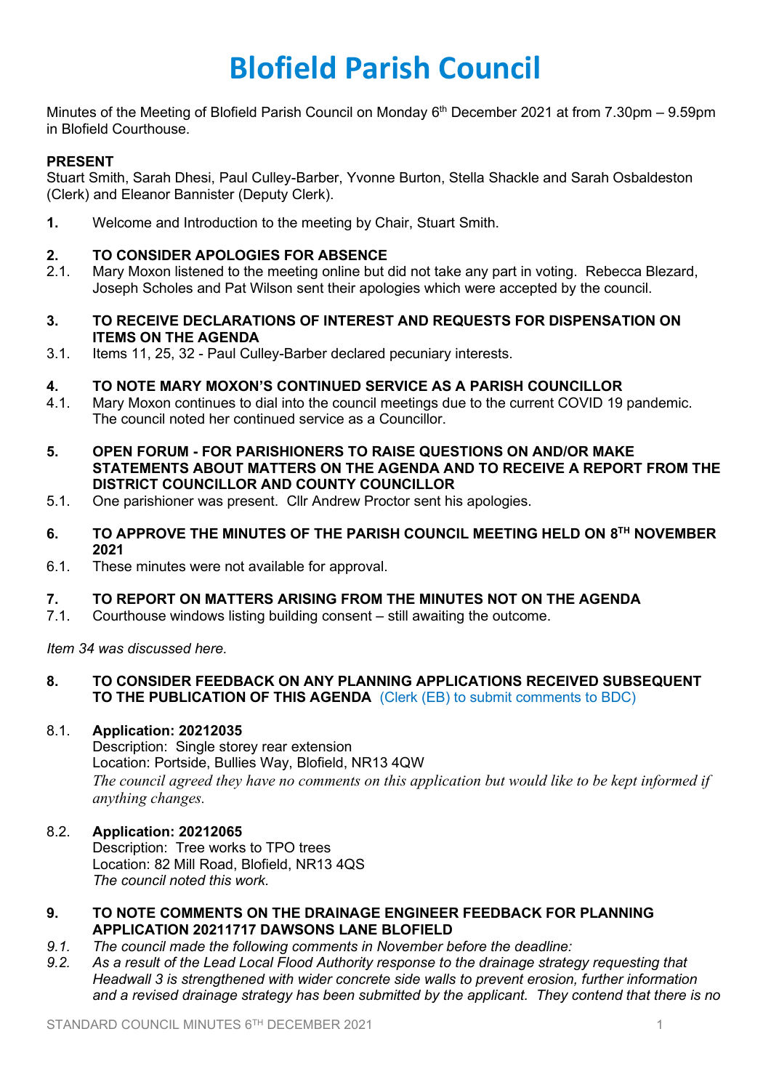# **Blofield Parish Council**

Minutes of the Meeting of Blofield Parish Council on Monday 6<sup>th</sup> December 2021 at from 7.30pm – 9.59pm in Blofield Courthouse.

# **PRESENT**

Stuart Smith, Sarah Dhesi, Paul Culley-Barber, Yvonne Burton, Stella Shackle and Sarah Osbaldeston (Clerk) and Eleanor Bannister (Deputy Clerk).

**1.** Welcome and Introduction to the meeting by Chair, Stuart Smith.

## **2. TO CONSIDER APOLOGIES FOR ABSENCE**

- 2.1. Mary Moxon listened to the meeting online but did not take any part in voting. Rebecca Blezard, Joseph Scholes and Pat Wilson sent their apologies which were accepted by the council.
- **3. TO RECEIVE DECLARATIONS OF INTEREST AND REQUESTS FOR DISPENSATION ON ITEMS ON THE AGENDA**
- 3.1. Items 11, 25, 32 Paul Culley-Barber declared pecuniary interests.

#### **4. TO NOTE MARY MOXON'S CONTINUED SERVICE AS A PARISH COUNCILLOR**

- 4.1. Mary Moxon continues to dial into the council meetings due to the current COVID 19 pandemic. The council noted her continued service as a Councillor.
- **5. OPEN FORUM - FOR PARISHIONERS TO RAISE QUESTIONS ON AND/OR MAKE STATEMENTS ABOUT MATTERS ON THE AGENDA AND TO RECEIVE A REPORT FROM THE DISTRICT COUNCILLOR AND COUNTY COUNCILLOR**
- 5.1. One parishioner was present. Cllr Andrew Proctor sent his apologies.
- **6. TO APPROVE THE MINUTES OF THE PARISH COUNCIL MEETING HELD ON 8 TH NOVEMBER 2021**
- 6.1. These minutes were not available for approval.

## **7. TO REPORT ON MATTERS ARISING FROM THE MINUTES NOT ON THE AGENDA**

7.1. Courthouse windows listing building consent – still awaiting the outcome.

*Item 34 was discussed here.*

#### **8. TO CONSIDER FEEDBACK ON ANY PLANNING APPLICATIONS RECEIVED SUBSEQUENT TO THE PUBLICATION OF THIS AGENDA** (Clerk (EB) to submit comments to BDC)

#### 8.1. **Application: 20212035**

Description: Single storey rear extension Location: Portside, Bullies Way, Blofield, NR13 4QW *The council agreed they have no comments on this application but would like to be kept informed if anything changes.* 

## 8.2. **Application: 20212065**

Description: Tree works to TPO trees Location: 82 Mill Road, Blofield, NR13 4QS *The council noted this work.*

#### **9. TO NOTE COMMENTS ON THE DRAINAGE ENGINEER FEEDBACK FOR PLANNING APPLICATION 20211717 DAWSONS LANE BLOFIELD**

- *9.1. The council made the following comments in November before the deadline:*
- *9.2. As a result of the Lead Local Flood Authority response to the drainage strategy requesting that Headwall 3 is strengthened with wider concrete side walls to prevent erosion, further information and a revised drainage strategy has been submitted by the applicant. They contend that there is no*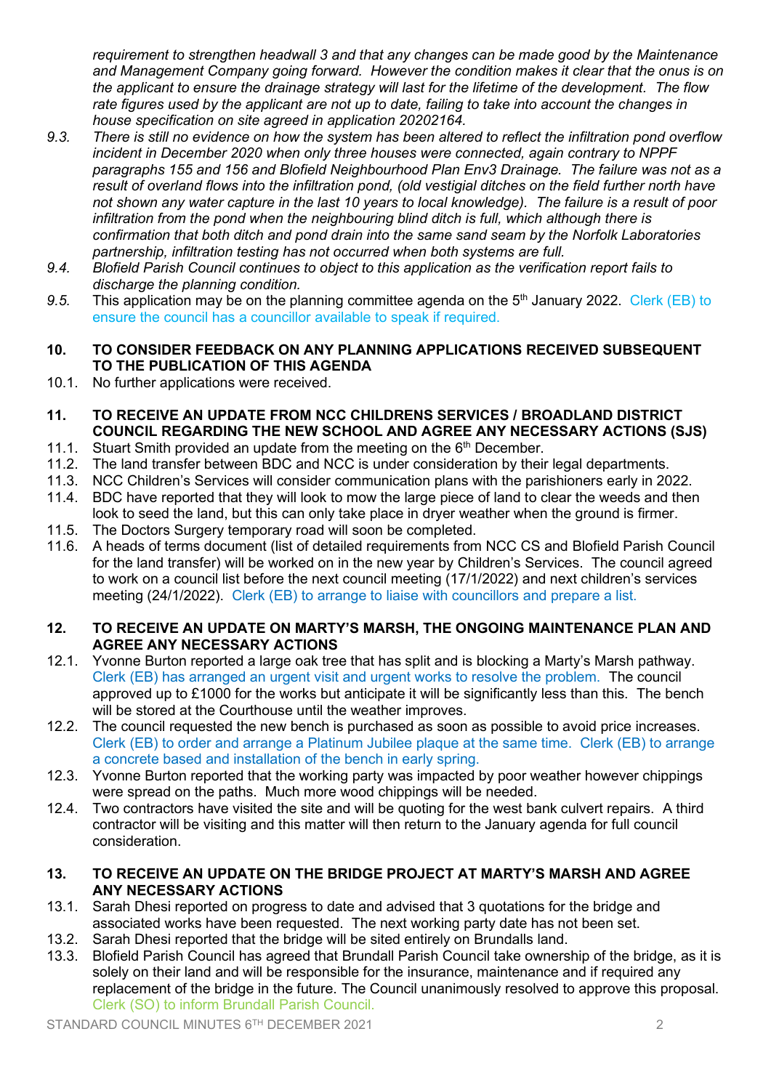*requirement to strengthen headwall 3 and that any changes can be made good by the Maintenance and Management Company going forward. However the condition makes it clear that the onus is on the applicant to ensure the drainage strategy will last for the lifetime of the development. The flow rate figures used by the applicant are not up to date, failing to take into account the changes in house specification on site agreed in application 20202164.*

- *9.3. There is still no evidence on how the system has been altered to reflect the infiltration pond overflow incident in December 2020 when only three houses were connected, again contrary to NPPF paragraphs 155 and 156 and Blofield Neighbourhood Plan Env3 Drainage. The failure was not as a result of overland flows into the infiltration pond, (old vestigial ditches on the field further north have not shown any water capture in the last 10 years to local knowledge). The failure is a result of poor infiltration from the pond when the neighbouring blind ditch is full, which although there is confirmation that both ditch and pond drain into the same sand seam by the Norfolk Laboratories partnership, infiltration testing has not occurred when both systems are full.*
- *9.4. Blofield Parish Council continues to object to this application as the verification report fails to discharge the planning condition.*
- *9.5.* This application may be on the planning committee agenda on the 5th January 2022. Clerk (EB) to ensure the council has a councillor available to speak if required.
- **10. TO CONSIDER FEEDBACK ON ANY PLANNING APPLICATIONS RECEIVED SUBSEQUENT TO THE PUBLICATION OF THIS AGENDA**
- 10.1. No further applications were received.
- **11. TO RECEIVE AN UPDATE FROM NCC CHILDRENS SERVICES / BROADLAND DISTRICT COUNCIL REGARDING THE NEW SCHOOL AND AGREE ANY NECESSARY ACTIONS (SJS)**
- 11.1. Stuart Smith provided an update from the meeting on the  $6<sup>th</sup>$  December.
- 11.2. The land transfer between BDC and NCC is under consideration by their legal departments.
- 11.3. NCC Children's Services will consider communication plans with the parishioners early in 2022.
- 11.4. BDC have reported that they will look to mow the large piece of land to clear the weeds and then look to seed the land, but this can only take place in dryer weather when the ground is firmer.
- 11.5. The Doctors Surgery temporary road will soon be completed.
- 11.6. A heads of terms document (list of detailed requirements from NCC CS and Blofield Parish Council for the land transfer) will be worked on in the new year by Children's Services. The council agreed to work on a council list before the next council meeting (17/1/2022) and next children's services meeting (24/1/2022). Clerk (EB) to arrange to liaise with councillors and prepare a list.

# **12. TO RECEIVE AN UPDATE ON MARTY'S MARSH, THE ONGOING MAINTENANCE PLAN AND AGREE ANY NECESSARY ACTIONS**

- 12.1. Yvonne Burton reported a large oak tree that has split and is blocking a Marty's Marsh pathway. Clerk (EB) has arranged an urgent visit and urgent works to resolve the problem. The council approved up to  $£1000$  for the works but anticipate it will be significantly less than this. The bench will be stored at the Courthouse until the weather improves.
- 12.2. The council requested the new bench is purchased as soon as possible to avoid price increases. Clerk (EB) to order and arrange a Platinum Jubilee plaque at the same time. Clerk (EB) to arrange a concrete based and installation of the bench in early spring.
- 12.3. Yvonne Burton reported that the working party was impacted by poor weather however chippings were spread on the paths. Much more wood chippings will be needed.
- 12.4. Two contractors have visited the site and will be quoting for the west bank culvert repairs. A third contractor will be visiting and this matter will then return to the January agenda for full council consideration.
- **13. TO RECEIVE AN UPDATE ON THE BRIDGE PROJECT AT MARTY'S MARSH AND AGREE ANY NECESSARY ACTIONS**
- 13.1. Sarah Dhesi reported on progress to date and advised that 3 quotations for the bridge and associated works have been requested. The next working party date has not been set.
- 13.2. Sarah Dhesi reported that the bridge will be sited entirely on Brundalls land.
- 13.3. Blofield Parish Council has agreed that Brundall Parish Council take ownership of the bridge, as it is solely on their land and will be responsible for the insurance, maintenance and if required any replacement of the bridge in the future. The Council unanimously resolved to approve this proposal. Clerk (SO) to inform Brundall Parish Council.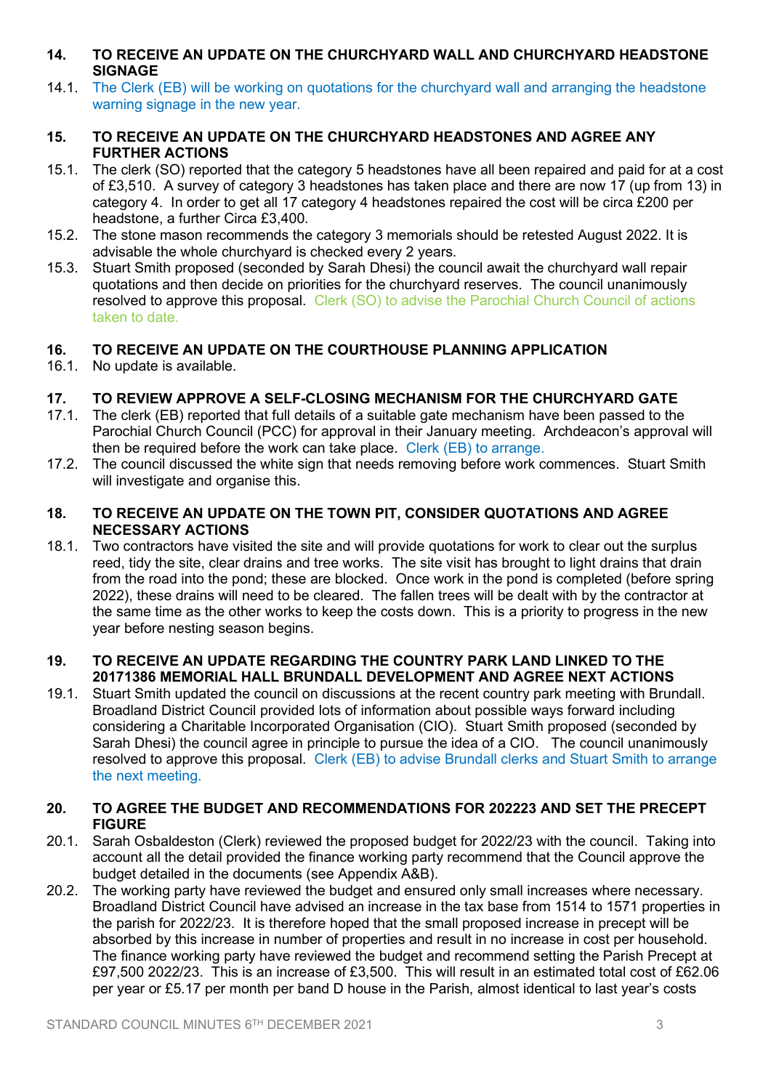- **14. TO RECEIVE AN UPDATE ON THE CHURCHYARD WALL AND CHURCHYARD HEADSTONE SIGNAGE**
- 14.1. The Clerk (EB) will be working on quotations for the churchyard wall and arranging the headstone warning signage in the new year.

## **15. TO RECEIVE AN UPDATE ON THE CHURCHYARD HEADSTONES AND AGREE ANY FURTHER ACTIONS**

- 15.1. The clerk (SO) reported that the category 5 headstones have all been repaired and paid for at a cost of £3,510.A survey of category 3 headstones has taken place and there are now 17 (up from 13) in category 4.In order to get all 17 category 4 headstones repaired the cost will be circa £200 per headstone, a further Circa £3,400.
- 15.2. The stone mason recommends the category 3 memorials should be retested August 2022. It is advisable the whole churchyard is checked every 2 years.
- 15.3. Stuart Smith proposed (seconded by Sarah Dhesi) the council await the churchyard wall repair quotations and then decide on priorities for the churchyard reserves. The council unanimously resolved to approve this proposal. Clerk (SO) to advise the Parochial Church Council of actions taken to date.

# **16. TO RECEIVE AN UPDATE ON THE COURTHOUSE PLANNING APPLICATION**

16.1. No update is available.

# **17. TO REVIEW APPROVE A SELF-CLOSING MECHANISM FOR THE CHURCHYARD GATE**

- 17.1. The clerk (EB) reported that full details of a suitable gate mechanism have been passed to the Parochial Church Council (PCC) for approval in their January meeting. Archdeacon's approval will then be required before the work can take place. Clerk (EB) to arrange.
- 17.2. The council discussed the white sign that needs removing before work commences. Stuart Smith will investigate and organise this.

## **18. TO RECEIVE AN UPDATE ON THE TOWN PIT, CONSIDER QUOTATIONS AND AGREE NECESSARY ACTIONS**

18.1. Two contractors have visited the site and will provide quotations for work to clear out the surplus reed, tidy the site, clear drains and tree works. The site visit has brought to light drains that drain from the road into the pond; these are blocked. Once work in the pond is completed (before spring 2022), these drains will need to be cleared. The fallen trees will be dealt with by the contractor at the same time as the other works to keep the costs down. This is a priority to progress in the new year before nesting season begins.

## **19. TO RECEIVE AN UPDATE REGARDING THE COUNTRY PARK LAND LINKED TO THE 20171386 MEMORIAL HALL BRUNDALL DEVELOPMENT AND AGREE NEXT ACTIONS**

19.1. Stuart Smith updated the council on discussions at the recent country park meeting with Brundall. Broadland District Council provided lots of information about possible ways forward including considering a Charitable Incorporated Organisation (CIO). Stuart Smith proposed (seconded by Sarah Dhesi) the council agree in principle to pursue the idea of a CIO. The council unanimously resolved to approve this proposal. Clerk (EB) to advise Brundall clerks and Stuart Smith to arrange the next meeting.

# **20. TO AGREE THE BUDGET AND RECOMMENDATIONS FOR 202223 AND SET THE PRECEPT FIGURE**

- 20.1. Sarah Osbaldeston (Clerk) reviewed the proposed budget for 2022/23 with the council. Taking into account all the detail provided the finance working party recommend that the Council approve the budget detailed in the documents (see Appendix A&B).
- 20.2. The working party have reviewed the budget and ensured only small increases where necessary. Broadland District Council have advised an increase in the tax base from 1514 to 1571 properties in the parish for 2022/23. It is therefore hoped that the small proposed increase in precept will be absorbed by this increase in number of properties and result in no increase in cost per household. The finance working party have reviewed the budget and recommend setting the Parish Precept at £97,500 2022/23. This is an increase of £3,500. This will result in an estimated total cost of £62.06 per year or £5.17 per month per band D house in the Parish, almost identical to last year's costs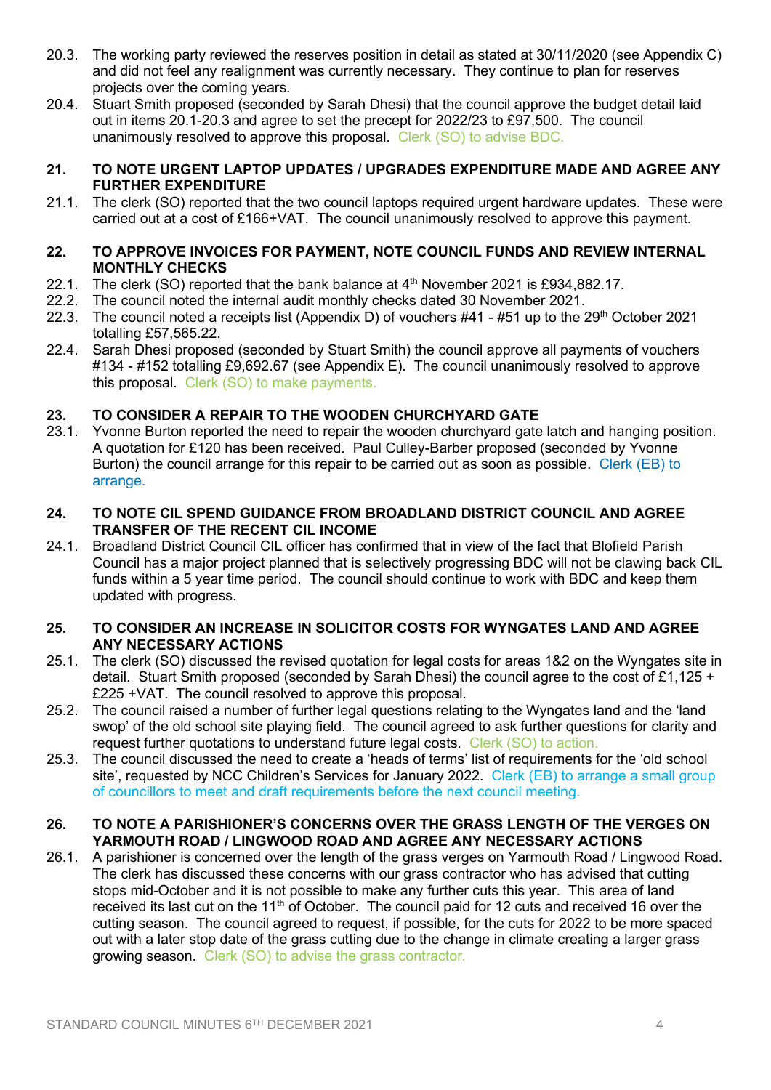- 20.3. The working party reviewed the reserves position in detail as stated at 30/11/2020 (see Appendix C) and did not feel any realignment was currently necessary. They continue to plan for reserves projects over the coming years.
- 20.4. Stuart Smith proposed (seconded by Sarah Dhesi) that the council approve the budget detail laid out in items 20.1-20.3 and agree to set the precept for 2022/23 to £97,500. The council unanimously resolved to approve this proposal. Clerk (SO) to advise BDC.

## **21. TO NOTE URGENT LAPTOP UPDATES / UPGRADES EXPENDITURE MADE AND AGREE ANY FURTHER EXPENDITURE**

21.1. The clerk (SO) reported that the two council laptops required urgent hardware updates. These were carried out at a cost of £166+VAT. The council unanimously resolved to approve this payment.

## **22. TO APPROVE INVOICES FOR PAYMENT, NOTE COUNCIL FUNDS AND REVIEW INTERNAL MONTHLY CHECKS**

- 22.1. The clerk (SO) reported that the bank balance at 4<sup>th</sup> November 2021 is £934,882.17.
- 22.2. The council noted the internal audit monthly checks dated 30 November 2021.
- 22.3. The council noted a receipts list (Appendix D) of vouchers  $#41 #51$  up to the  $29<sup>th</sup>$  October 2021 totalling £57,565.22.
- 22.4. Sarah Dhesi proposed (seconded by Stuart Smith) the council approve all payments of vouchers #134 - #152 totalling £9,692.67 (see Appendix E). The council unanimously resolved to approve this proposal. Clerk (SO) to make payments.

# **23. TO CONSIDER A REPAIR TO THE WOODEN CHURCHYARD GATE**

23.1. Yvonne Burton reported the need to repair the wooden churchyard gate latch and hanging position. A quotation for £120 has been received. Paul Culley-Barber proposed (seconded by Yvonne Burton) the council arrange for this repair to be carried out as soon as possible. Clerk (EB) to arrange.

## **24. TO NOTE CIL SPEND GUIDANCE FROM BROADLAND DISTRICT COUNCIL AND AGREE TRANSFER OF THE RECENT CIL INCOME**

24.1. Broadland District Council CIL officer has confirmed that in view of the fact that Blofield Parish Council has a major project planned that is selectively progressing BDC will not be clawing back CIL funds within a 5 year time period. The council should continue to work with BDC and keep them updated with progress.

# **25. TO CONSIDER AN INCREASE IN SOLICITOR COSTS FOR WYNGATES LAND AND AGREE ANY NECESSARY ACTIONS**

- 25.1. The clerk (SO) discussed the revised quotation for legal costs for areas 1&2 on the Wyngates site in detail. Stuart Smith proposed (seconded by Sarah Dhesi) the council agree to the cost of £1,125 + £225 +VAT. The council resolved to approve this proposal.
- 25.2. The council raised a number of further legal questions relating to the Wyngates land and the 'land swop' of the old school site playing field. The council agreed to ask further questions for clarity and request further quotations to understand future legal costs. Clerk (SO) to action.
- 25.3. The council discussed the need to create a 'heads of terms' list of requirements for the 'old school site', requested by NCC Children's Services for January 2022. Clerk (EB) to arrange a small group of councillors to meet and draft requirements before the next council meeting.

## **26. TO NOTE A PARISHIONER'S CONCERNS OVER THE GRASS LENGTH OF THE VERGES ON YARMOUTH ROAD / LINGWOOD ROAD AND AGREE ANY NECESSARY ACTIONS**

26.1. A parishioner is concerned over the length of the grass verges on Yarmouth Road / Lingwood Road. The clerk has discussed these concerns with our grass contractor who has advised that cutting stops mid-October and it is not possible to make any further cuts this year. This area of land received its last cut on the 11<sup>th</sup> of October. The council paid for 12 cuts and received 16 over the cutting season. The council agreed to request, if possible, for the cuts for 2022 to be more spaced out with a later stop date of the grass cutting due to the change in climate creating a larger grass growing season. Clerk (SO) to advise the grass contractor.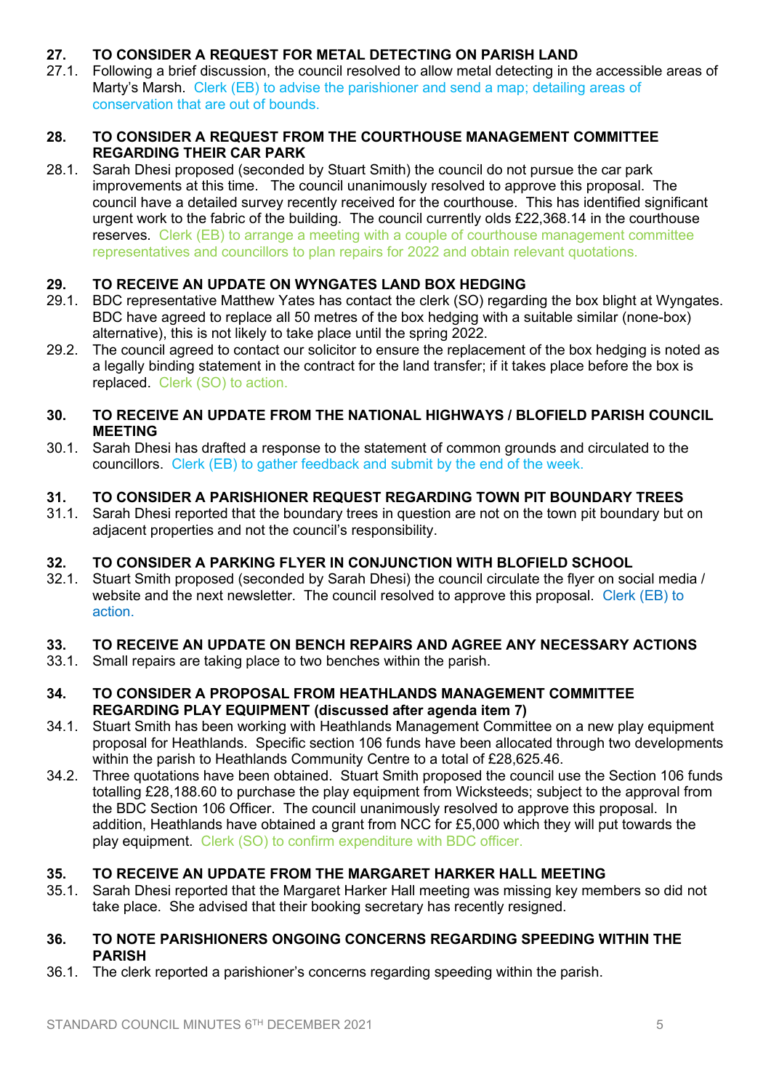# **27. TO CONSIDER A REQUEST FOR METAL DETECTING ON PARISH LAND**

27.1. Following a brief discussion, the council resolved to allow metal detecting in the accessible areas of Marty's Marsh. Clerk (EB) to advise the parishioner and send a map; detailing areas of conservation that are out of bounds.

# **28. TO CONSIDER A REQUEST FROM THE COURTHOUSE MANAGEMENT COMMITTEE REGARDING THEIR CAR PARK**

28.1. Sarah Dhesi proposed (seconded by Stuart Smith) the council do not pursue the car park improvements at this time. The council unanimously resolved to approve this proposal. The council have a detailed survey recently received for the courthouse. This has identified significant urgent work to the fabric of the building. The council currently olds £22,368.14 in the courthouse reserves. Clerk (EB) to arrange a meeting with a couple of courthouse management committee representatives and councillors to plan repairs for 2022 and obtain relevant quotations.

# **29. TO RECEIVE AN UPDATE ON WYNGATES LAND BOX HEDGING**

- 29.1. BDC representative Matthew Yates has contact the clerk (SO) regarding the box blight at Wyngates. BDC have agreed to replace all 50 metres of the box hedging with a suitable similar (none-box) alternative), this is not likely to take place until the spring 2022.
- 29.2. The council agreed to contact our solicitor to ensure the replacement of the box hedging is noted as a legally binding statement in the contract for the land transfer; if it takes place before the box is replaced. Clerk (SO) to action.

## **30. TO RECEIVE AN UPDATE FROM THE NATIONAL HIGHWAYS / BLOFIELD PARISH COUNCIL MEETING**

30.1. Sarah Dhesi has drafted a response to the statement of common grounds and circulated to the councillors. Clerk (EB) to gather feedback and submit by the end of the week.

# **31. TO CONSIDER A PARISHIONER REQUEST REGARDING TOWN PIT BOUNDARY TREES**

31.1. Sarah Dhesi reported that the boundary trees in question are not on the town pit boundary but on adjacent properties and not the council's responsibility.

# **32. TO CONSIDER A PARKING FLYER IN CONJUNCTION WITH BLOFIELD SCHOOL**

32.1. Stuart Smith proposed (seconded by Sarah Dhesi) the council circulate the flyer on social media / website and the next newsletter. The council resolved to approve this proposal. Clerk (EB) to action.

# **33. TO RECEIVE AN UPDATE ON BENCH REPAIRS AND AGREE ANY NECESSARY ACTIONS**

33.1. Small repairs are taking place to two benches within the parish.

## **34. TO CONSIDER A PROPOSAL FROM HEATHLANDS MANAGEMENT COMMITTEE REGARDING PLAY EQUIPMENT (discussed after agenda item 7)**

- 34.1. Stuart Smith has been working with Heathlands Management Committee on a new play equipment proposal for Heathlands. Specific section 106 funds have been allocated through two developments within the parish to Heathlands Community Centre to a total of £28,625.46.
- 34.2. Three quotations have been obtained. Stuart Smith proposed the council use the Section 106 funds totalling £28,188.60 to purchase the play equipment from Wicksteeds; subject to the approval from the BDC Section 106 Officer. The council unanimously resolved to approve this proposal. In addition, Heathlands have obtained a grant from NCC for £5,000 which they will put towards the play equipment. Clerk (SO) to confirm expenditure with BDC officer.

# **35. TO RECEIVE AN UPDATE FROM THE MARGARET HARKER HALL MEETING**

35.1. Sarah Dhesi reported that the Margaret Harker Hall meeting was missing key members so did not take place. She advised that their booking secretary has recently resigned.

## **36. TO NOTE PARISHIONERS ONGOING CONCERNS REGARDING SPEEDING WITHIN THE PARISH**

36.1. The clerk reported a parishioner's concerns regarding speeding within the parish.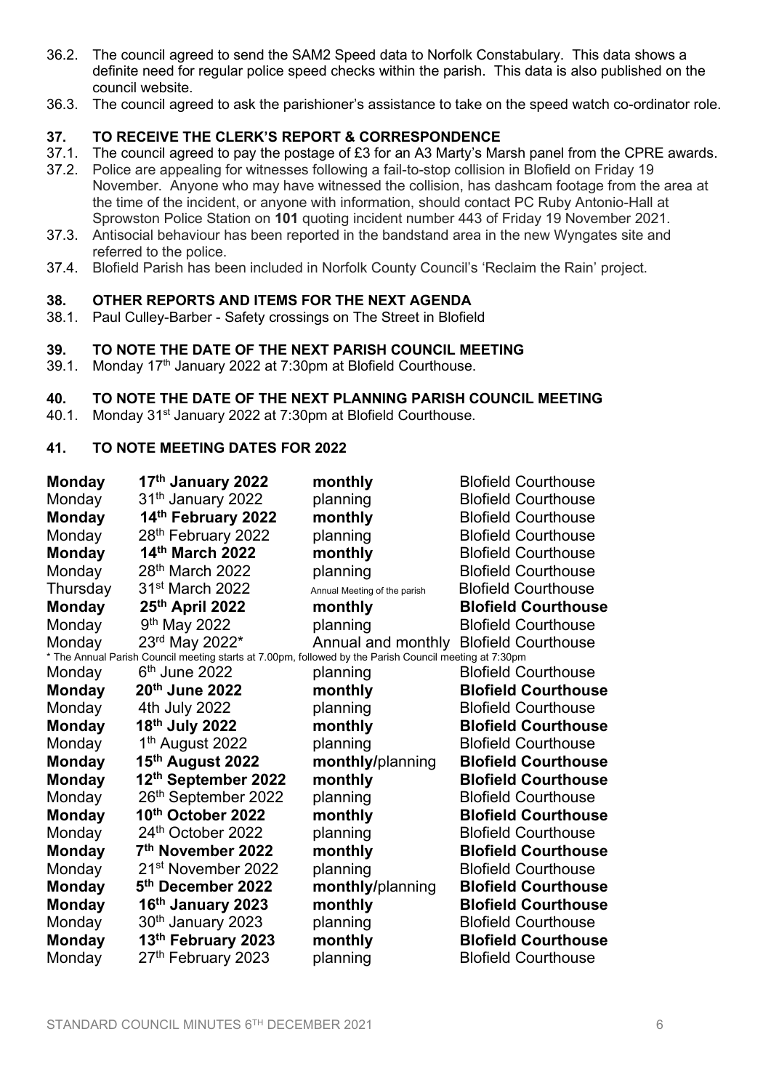- 36.2. The council agreed to send the SAM2 Speed data to Norfolk Constabulary. This data shows a definite need for regular police speed checks within the parish. This data is also published on the council website.
- 36.3. The council agreed to ask the parishioner's assistance to take on the speed watch co-ordinator role.

# **37. TO RECEIVE THE CLERK'S REPORT & CORRESPONDENCE**

- 37.1. The council agreed to pay the postage of £3 for an A3 Marty's Marsh panel from the CPRE awards.
- 37.2. Police are appealing for witnesses following a fail-to-stop collision in Blofield on Friday 19 November. Anyone who may have witnessed the collision, has dashcam footage from the area at the time of the incident, or anyone with information, should contact PC Ruby Antonio-Hall at Sprowston Police Station on **101** quoting incident number 443 of Friday 19 November 2021.
- 37.3. Antisocial behaviour has been reported in the bandstand area in the new Wyngates site and referred to the police.
- 37.4. Blofield Parish has been included in Norfolk County Council's 'Reclaim the Rain' project.

#### **38. OTHER REPORTS AND ITEMS FOR THE NEXT AGENDA**

38.1. Paul Culley-Barber - Safety crossings on The Street in Blofield

## **39. TO NOTE THE DATE OF THE NEXT PARISH COUNCIL MEETING**

39.1. Monday 17<sup>th</sup> January 2022 at 7:30pm at Blofield Courthouse.

## **40. TO NOTE THE DATE OF THE NEXT PLANNING PARISH COUNCIL MEETING**

40.1. Monday 31<sup>st</sup> January 2022 at 7:30pm at Blofield Courthouse.

# **41. TO NOTE MEETING DATES FOR 2022**

| <b>Monday</b>                                                                                          | 17 <sup>th</sup> January 2022   | monthly                                | <b>Blofield Courthouse</b> |
|--------------------------------------------------------------------------------------------------------|---------------------------------|----------------------------------------|----------------------------|
| Monday                                                                                                 | 31 <sup>th</sup> January 2022   | planning                               | <b>Blofield Courthouse</b> |
| <b>Monday</b>                                                                                          | 14th February 2022              | monthly                                | <b>Blofield Courthouse</b> |
| Monday                                                                                                 | 28 <sup>th</sup> February 2022  | planning                               | <b>Blofield Courthouse</b> |
| <b>Monday</b>                                                                                          | 14th March 2022                 | monthly                                | <b>Blofield Courthouse</b> |
| Monday                                                                                                 | 28 <sup>th</sup> March 2022     | planning                               | <b>Blofield Courthouse</b> |
| Thursday                                                                                               | 31 <sup>st</sup> March 2022     | Annual Meeting of the parish           | <b>Blofield Courthouse</b> |
| <b>Monday</b>                                                                                          | 25th April 2022                 | monthly                                | <b>Blofield Courthouse</b> |
| Monday                                                                                                 | 9 <sup>th</sup> May 2022        | planning                               | <b>Blofield Courthouse</b> |
| Monday                                                                                                 | 23rd May 2022*                  | Annual and monthly Blofield Courthouse |                            |
| * The Annual Parish Council meeting starts at 7.00pm, followed by the Parish Council meeting at 7:30pm |                                 |                                        |                            |
| Monday                                                                                                 | $6th$ June 2022                 | planning                               | <b>Blofield Courthouse</b> |
| <b>Monday</b>                                                                                          | 20th June 2022                  | monthly                                | <b>Blofield Courthouse</b> |
| Monday                                                                                                 | 4th July 2022                   | planning                               | <b>Blofield Courthouse</b> |
| <b>Monday</b>                                                                                          | 18 <sup>th</sup> July 2022      | monthly                                | <b>Blofield Courthouse</b> |
| Monday                                                                                                 | 1 <sup>th</sup> August 2022     | planning                               | <b>Blofield Courthouse</b> |
| <b>Monday</b>                                                                                          | 15th August 2022                | monthly/planning                       | <b>Blofield Courthouse</b> |
| <b>Monday</b>                                                                                          | 12th September 2022             | monthly                                | <b>Blofield Courthouse</b> |
| Monday                                                                                                 | 26 <sup>th</sup> September 2022 | planning                               | <b>Blofield Courthouse</b> |
| <b>Monday</b>                                                                                          | 10th October 2022               | monthly                                | <b>Blofield Courthouse</b> |
| Monday                                                                                                 | 24th October 2022               | planning                               | <b>Blofield Courthouse</b> |
| <b>Monday</b>                                                                                          | 7 <sup>th</sup> November 2022   | monthly                                | <b>Blofield Courthouse</b> |
| Monday                                                                                                 | 21 <sup>st</sup> November 2022  | planning                               | <b>Blofield Courthouse</b> |
| <b>Monday</b>                                                                                          | 5 <sup>th</sup> December 2022   | monthly/planning                       | <b>Blofield Courthouse</b> |
| <b>Monday</b>                                                                                          | 16th January 2023               | monthly                                | <b>Blofield Courthouse</b> |
| Monday                                                                                                 | 30th January 2023               | planning                               | <b>Blofield Courthouse</b> |
| <b>Monday</b>                                                                                          | 13th February 2023              | monthly                                | <b>Blofield Courthouse</b> |
| Monday                                                                                                 | 27th February 2023              | planning                               | <b>Blofield Courthouse</b> |